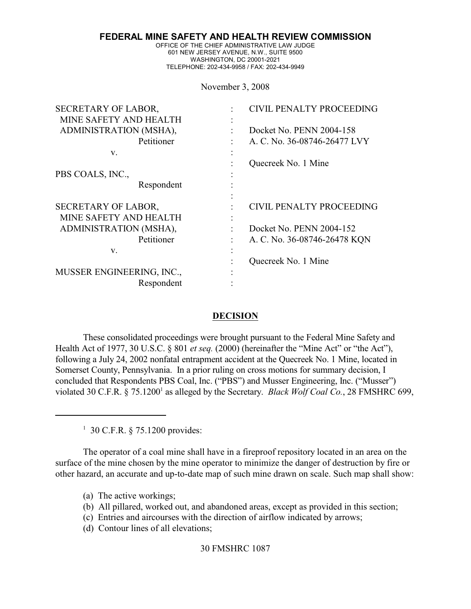**FEDERAL MINE SAFETY AND HEALTH REVIEW COMMISSION**

OFFICE OF THE CHIEF ADMINISTRATIVE LAW JUDGE 601 NEW JERSEY AVENUE, N.W., SUITE 9500 WASHINGTON, DC 20001-2021 TELEPHONE: 202-434-9958 / FAX: 202-434-9949

November 3, 2008

| SECRETARY OF LABOR,       | CIVIL PENALTY PROCEEDING     |
|---------------------------|------------------------------|
| MINE SAFETY AND HEALTH    |                              |
| ADMINISTRATION (MSHA),    | Docket No. PENN 2004-158     |
| Petitioner                | A. C. No. 36-08746-26477 LVY |
| V.                        |                              |
|                           | Quecreek No. 1 Mine          |
| PBS COALS, INC.,          |                              |
| Respondent                |                              |
|                           |                              |
| SECRETARY OF LABOR,       | CIVIL PENALTY PROCEEDING     |
| MINE SAFETY AND HEALTH    |                              |
| ADMINISTRATION (MSHA),    | Docket No. PENN 2004-152     |
| Petitioner                | A. C. No. 36-08746-26478 KQN |
| V.                        |                              |
|                           | Quecreek No. 1 Mine          |
| MUSSER ENGINEERING, INC., |                              |
| Respondent                |                              |

#### **DECISION**

These consolidated proceedings were brought pursuant to the Federal Mine Safety and Health Act of 1977, 30 U.S.C. § 801 *et seq.* (2000) (hereinafter the "Mine Act" or "the Act"), following a July 24, 2002 nonfatal entrapment accident at the Quecreek No. 1 Mine, located in Somerset County, Pennsylvania. In a prior ruling on cross motions for summary decision, I concluded that Respondents PBS Coal, Inc. ("PBS") and Musser Engineering, Inc. ("Musser") violated 30 C.F.R. § 75.1200<sup>1</sup> as alleged by the Secretary. *Black Wolf Coal Co.*, 28 FMSHRC 699,

 $1\,$  30 C.F.R.  $\frac{5}{75.1200}$  provides:

The operator of a coal mine shall have in a fireproof repository located in an area on the surface of the mine chosen by the mine operator to minimize the danger of destruction by fire or other hazard, an accurate and up-to-date map of such mine drawn on scale. Such map shall show:

- (a) The active workings;
- (b) All pillared, worked out, and abandoned areas, except as provided in this section;
- (c) Entries and aircourses with the direction of airflow indicated by arrows;
- (d) Contour lines of all elevations;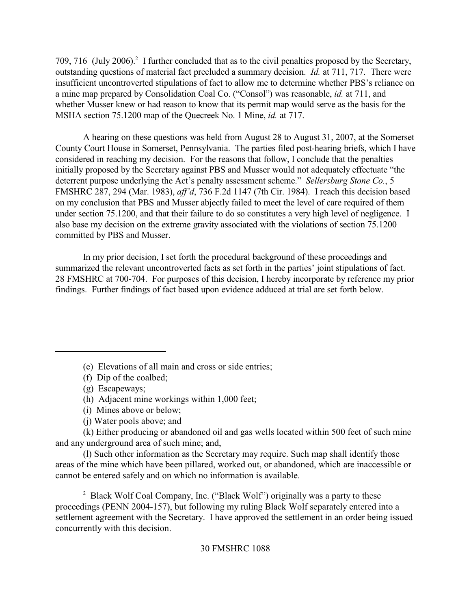709, 716 (July 2006).<sup>2</sup> I further concluded that as to the civil penalties proposed by the Secretary, outstanding questions of material fact precluded a summary decision. *Id.* at 711, 717. There were insufficient uncontroverted stipulations of fact to allow me to determine whether PBS's reliance on a mine map prepared by Consolidation Coal Co. ("Consol") was reasonable, *id.* at 711, and whether Musser knew or had reason to know that its permit map would serve as the basis for the MSHA section 75.1200 map of the Quecreek No. 1 Mine, *id.* at 717.

A hearing on these questions was held from August 28 to August 31, 2007, at the Somerset County Court House in Somerset, Pennsylvania. The parties filed post-hearing briefs, which I have considered in reaching my decision. For the reasons that follow, I conclude that the penalties initially proposed by the Secretary against PBS and Musser would not adequately effectuate "the deterrent purpose underlying the Act's penalty assessment scheme." *Sellersburg Stone Co.*, 5 FMSHRC 287, 294 (Mar. 1983), *aff'd*, 736 F.2d 1147 (7th Cir. 1984). I reach this decision based on my conclusion that PBS and Musser abjectly failed to meet the level of care required of them under section 75.1200, and that their failure to do so constitutes a very high level of negligence. I also base my decision on the extreme gravity associated with the violations of section 75.1200 committed by PBS and Musser.

In my prior decision, I set forth the procedural background of these proceedings and summarized the relevant uncontroverted facts as set forth in the parties' joint stipulations of fact. 28 FMSHRC at 700-704. For purposes of this decision, I hereby incorporate by reference my prior findings. Further findings of fact based upon evidence adduced at trial are set forth below.

(k) Either producing or abandoned oil and gas wells located within 500 feet of such mine and any underground area of such mine; and,

(l) Such other information as the Secretary may require. Such map shall identify those areas of the mine which have been pillared, worked out, or abandoned, which are inaccessible or cannot be entered safely and on which no information is available.

<sup>2</sup> Black Wolf Coal Company, Inc. ("Black Wolf") originally was a party to these proceedings (PENN 2004-157), but following my ruling Black Wolf separately entered into a settlement agreement with the Secretary. I have approved the settlement in an order being issued concurrently with this decision.

<sup>(</sup>e) Elevations of all main and cross or side entries;

<sup>(</sup>f) Dip of the coalbed;

<sup>(</sup>g) Escapeways;

<sup>(</sup>h) Adjacent mine workings within 1,000 feet;

<sup>(</sup>i) Mines above or below;

<sup>(</sup>j) Water pools above; and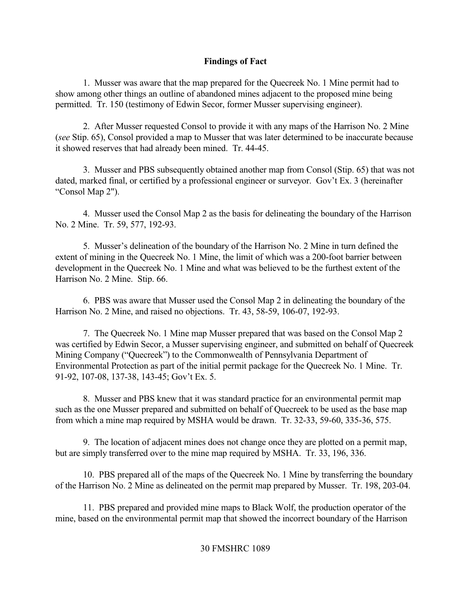## **Findings of Fact**

1. Musser was aware that the map prepared for the Quecreek No. 1 Mine permit had to show among other things an outline of abandoned mines adjacent to the proposed mine being permitted. Tr. 150 (testimony of Edwin Secor, former Musser supervising engineer).

2. After Musser requested Consol to provide it with any maps of the Harrison No. 2 Mine (*see* Stip. 65), Consol provided a map to Musser that was later determined to be inaccurate because it showed reserves that had already been mined. Tr. 44-45.

3. Musser and PBS subsequently obtained another map from Consol (Stip. 65) that was not dated, marked final, or certified by a professional engineer or surveyor. Gov't Ex. 3 (hereinafter "Consol Map 2").

4. Musser used the Consol Map 2 as the basis for delineating the boundary of the Harrison No. 2 Mine. Tr. 59, 577, 192-93.

5. Musser's delineation of the boundary of the Harrison No. 2 Mine in turn defined the extent of mining in the Quecreek No. 1 Mine, the limit of which was a 200-foot barrier between development in the Quecreek No. 1 Mine and what was believed to be the furthest extent of the Harrison No. 2 Mine. Stip. 66.

6. PBS was aware that Musser used the Consol Map 2 in delineating the boundary of the Harrison No. 2 Mine, and raised no objections. Tr. 43, 58-59, 106-07, 192-93.

7. The Quecreek No. 1 Mine map Musser prepared that was based on the Consol Map 2 was certified by Edwin Secor, a Musser supervising engineer, and submitted on behalf of Quecreek Mining Company ("Quecreek") to the Commonwealth of Pennsylvania Department of Environmental Protection as part of the initial permit package for the Quecreek No. 1 Mine. Tr. 91-92, 107-08, 137-38, 143-45; Gov't Ex. 5.

8. Musser and PBS knew that it was standard practice for an environmental permit map such as the one Musser prepared and submitted on behalf of Quecreek to be used as the base map from which a mine map required by MSHA would be drawn. Tr. 32-33, 59-60, 335-36, 575.

9. The location of adjacent mines does not change once they are plotted on a permit map, but are simply transferred over to the mine map required by MSHA. Tr. 33, 196, 336.

10. PBS prepared all of the maps of the Quecreek No. 1 Mine by transferring the boundary of the Harrison No. 2 Mine as delineated on the permit map prepared by Musser. Tr. 198, 203-04.

11. PBS prepared and provided mine maps to Black Wolf, the production operator of the mine, based on the environmental permit map that showed the incorrect boundary of the Harrison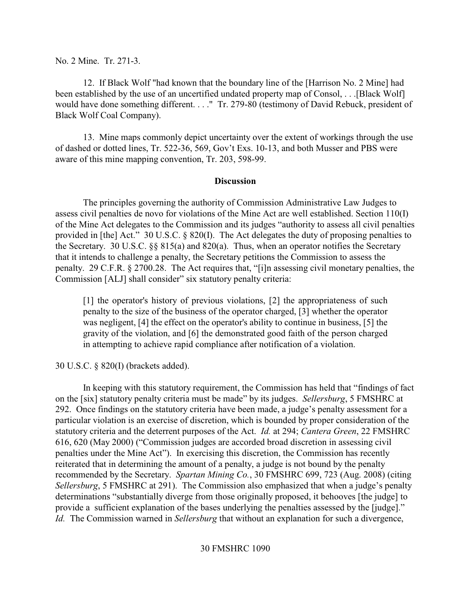No. 2 Mine. Tr. 271-3.

12. If Black Wolf "had known that the boundary line of the [Harrison No. 2 Mine] had been established by the use of an uncertified undated property map of Consol, . . .[Black Wolf] would have done something different. . . ." Tr. 279-80 (testimony of David Rebuck, president of Black Wolf Coal Company).

13. Mine maps commonly depict uncertainty over the extent of workings through the use of dashed or dotted lines, Tr. 522-36, 569, Gov't Exs. 10-13, and both Musser and PBS were aware of this mine mapping convention, Tr. 203, 598-99.

### **Discussion**

The principles governing the authority of Commission Administrative Law Judges to assess civil penalties de novo for violations of the Mine Act are well established. Section 110(I) of the Mine Act delegates to the Commission and its judges "authority to assess all civil penalties provided in [the] Act." 30 U.S.C. § 820(I). The Act delegates the duty of proposing penalties to the Secretary. 30 U.S.C.  $\S$  815(a) and 820(a). Thus, when an operator notifies the Secretary that it intends to challenge a penalty, the Secretary petitions the Commission to assess the penalty. 29 C.F.R. § 2700.28. The Act requires that, "[i]n assessing civil monetary penalties, the Commission [ALJ] shall consider" six statutory penalty criteria:

[1] the operator's history of previous violations, [2] the appropriateness of such penalty to the size of the business of the operator charged, [3] whether the operator was negligent, [4] the effect on the operator's ability to continue in business, [5] the gravity of the violation, and [6] the demonstrated good faith of the person charged in attempting to achieve rapid compliance after notification of a violation.

30 U.S.C. § 820(I) (brackets added).

In keeping with this statutory requirement, the Commission has held that "findings of fact on the [six] statutory penalty criteria must be made" by its judges. *Sellersburg*, 5 FMSHRC at 292. Once findings on the statutory criteria have been made, a judge's penalty assessment for a particular violation is an exercise of discretion, which is bounded by proper consideration of the statutory criteria and the deterrent purposes of the Act. *Id.* at 294; *Cantera Green*, 22 FMSHRC 616, 620 (May 2000) ("Commission judges are accorded broad discretion in assessing civil penalties under the Mine Act"). In exercising this discretion, the Commission has recently reiterated that in determining the amount of a penalty, a judge is not bound by the penalty recommended by the Secretary. *Spartan Mining Co.*, 30 FMSHRC 699, 723 (Aug. 2008) (citing *Sellersburg*, 5 FMSHRC at 291). The Commission also emphasized that when a judge's penalty determinations "substantially diverge from those originally proposed, it behooves [the judge] to provide a sufficient explanation of the bases underlying the penalties assessed by the [judge]." *Id.* The Commission warned in *Sellersburg* that without an explanation for such a divergence,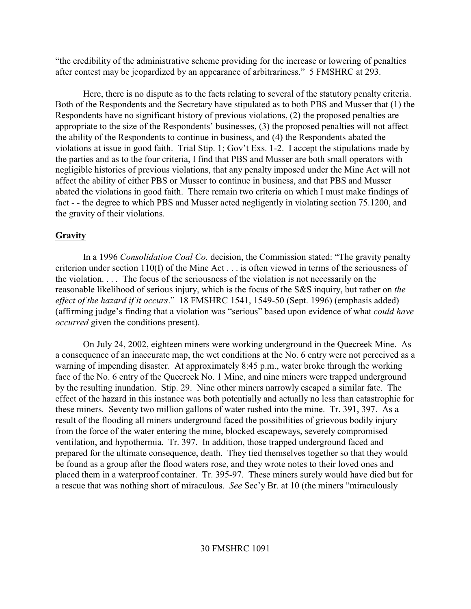"the credibility of the administrative scheme providing for the increase or lowering of penalties after contest may be jeopardized by an appearance of arbitrariness." 5 FMSHRC at 293.

Here, there is no dispute as to the facts relating to several of the statutory penalty criteria. Both of the Respondents and the Secretary have stipulated as to both PBS and Musser that (1) the Respondents have no significant history of previous violations, (2) the proposed penalties are appropriate to the size of the Respondents' businesses, (3) the proposed penalties will not affect the ability of the Respondents to continue in business, and (4) the Respondents abated the violations at issue in good faith. Trial Stip. 1; Gov't Exs. 1-2. I accept the stipulations made by the parties and as to the four criteria, I find that PBS and Musser are both small operators with negligible histories of previous violations, that any penalty imposed under the Mine Act will not affect the ability of either PBS or Musser to continue in business, and that PBS and Musser abated the violations in good faith. There remain two criteria on which I must make findings of fact - - the degree to which PBS and Musser acted negligently in violating section 75.1200, and the gravity of their violations.

# **Gravity**

In a 1996 *Consolidation Coal Co.* decision, the Commission stated: "The gravity penalty criterion under section 110(I) of the Mine Act . . . is often viewed in terms of the seriousness of the violation. . . . The focus of the seriousness of the violation is not necessarily on the reasonable likelihood of serious injury, which is the focus of the S&S inquiry, but rather on *the effect of the hazard if it occurs*." 18 FMSHRC 1541, 1549-50 (Sept. 1996) (emphasis added) (affirming judge's finding that a violation was "serious" based upon evidence of what *could have occurred* given the conditions present).

On July 24, 2002, eighteen miners were working underground in the Quecreek Mine. As a consequence of an inaccurate map, the wet conditions at the No. 6 entry were not perceived as a warning of impending disaster. At approximately 8:45 p.m., water broke through the working face of the No. 6 entry of the Quecreek No. 1 Mine, and nine miners were trapped underground by the resulting inundation. Stip. 29. Nine other miners narrowly escaped a similar fate. The effect of the hazard in this instance was both potentially and actually no less than catastrophic for these miners. Seventy two million gallons of water rushed into the mine. Tr. 391, 397. As a result of the flooding all miners underground faced the possibilities of grievous bodily injury from the force of the water entering the mine, blocked escapeways, severely compromised ventilation, and hypothermia. Tr. 397. In addition, those trapped underground faced and prepared for the ultimate consequence, death. They tied themselves together so that they would be found as a group after the flood waters rose, and they wrote notes to their loved ones and placed them in a waterproof container. Tr. 395-97. These miners surely would have died but for a rescue that was nothing short of miraculous. *See* Sec'y Br. at 10 (the miners "miraculously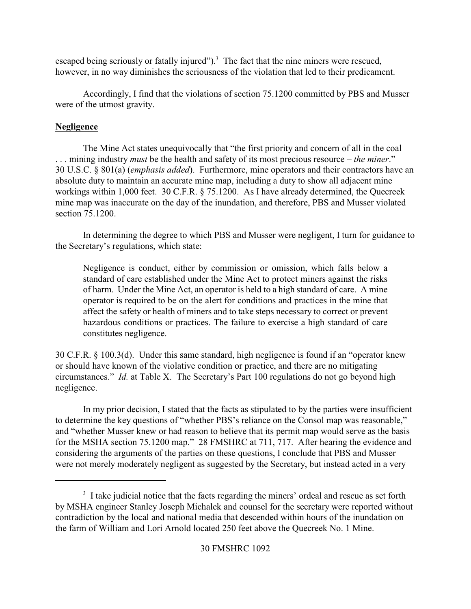escaped being seriously or fatally injured").<sup>3</sup> The fact that the nine miners were rescued, however, in no way diminishes the seriousness of the violation that led to their predicament.

Accordingly, I find that the violations of section 75.1200 committed by PBS and Musser were of the utmost gravity.

# **Negligence**

The Mine Act states unequivocally that "the first priority and concern of all in the coal . . . mining industry *must* be the health and safety of its most precious resource – *the miner*." 30 U.S.C. § 801(a) (*emphasis added*). Furthermore, mine operators and their contractors have an absolute duty to maintain an accurate mine map, including a duty to show all adjacent mine workings within 1,000 feet. 30 C.F.R. § 75.1200. As I have already determined, the Quecreek mine map was inaccurate on the day of the inundation, and therefore, PBS and Musser violated section 75.1200.

In determining the degree to which PBS and Musser were negligent, I turn for guidance to the Secretary's regulations, which state:

Negligence is conduct, either by commission or omission, which falls below a standard of care established under the Mine Act to protect miners against the risks of harm. Under the Mine Act, an operator is held to a high standard of care. A mine operator is required to be on the alert for conditions and practices in the mine that affect the safety or health of miners and to take steps necessary to correct or prevent hazardous conditions or practices. The failure to exercise a high standard of care constitutes negligence.

30 C.F.R. § 100.3(d). Under this same standard, high negligence is found if an "operator knew or should have known of the violative condition or practice, and there are no mitigating circumstances." *Id.* at Table X. The Secretary's Part 100 regulations do not go beyond high negligence.

In my prior decision, I stated that the facts as stipulated to by the parties were insufficient to determine the key questions of "whether PBS's reliance on the Consol map was reasonable," and "whether Musser knew or had reason to believe that its permit map would serve as the basis for the MSHA section 75.1200 map." 28 FMSHRC at 711, 717. After hearing the evidence and considering the arguments of the parties on these questions, I conclude that PBS and Musser were not merely moderately negligent as suggested by the Secretary, but instead acted in a very

 $3\,$  I take judicial notice that the facts regarding the miners' ordeal and rescue as set forth by MSHA engineer Stanley Joseph Michalek and counsel for the secretary were reported without contradiction by the local and national media that descended within hours of the inundation on the farm of William and Lori Arnold located 250 feet above the Quecreek No. 1 Mine.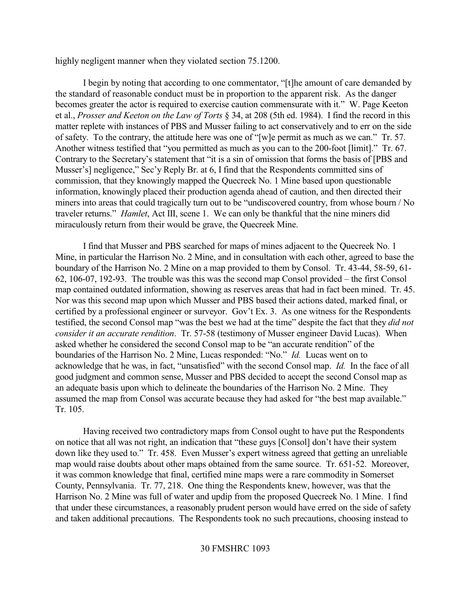highly negligent manner when they violated section 75.1200.

I begin by noting that according to one commentator, "[t]he amount of care demanded by the standard of reasonable conduct must be in proportion to the apparent risk. As the danger becomes greater the actor is required to exercise caution commensurate with it." W. Page Keeton et al., *Prosser and Keeton on the Law of Torts* § 34, at 208 (5th ed. 1984). I find the record in this matter replete with instances of PBS and Musser failing to act conservatively and to err on the side of safety. To the contrary, the attitude here was one of "[w]e permit as much as we can." Tr. 57. Another witness testified that "you permitted as much as you can to the 200-foot [limit]." Tr. 67. Contrary to the Secretary's statement that "it is a sin of omission that forms the basis of [PBS and Musser's] negligence," Sec'y Reply Br. at 6, I find that the Respondents committed sins of commission, that they knowingly mapped the Quecreek No. 1 Mine based upon questionable information, knowingly placed their production agenda ahead of caution, and then directed their miners into areas that could tragically turn out to be "undiscovered country, from whose bourn / No traveler returns." *Hamlet*, Act III, scene 1. We can only be thankful that the nine miners did miraculously return from their would be grave, the Quecreek Mine.

I find that Musser and PBS searched for maps of mines adjacent to the Quecreek No. 1 Mine, in particular the Harrison No. 2 Mine, and in consultation with each other, agreed to base the boundary of the Harrison No. 2 Mine on a map provided to them by Consol. Tr. 43-44, 58-59, 61- 62, 106-07, 192-93. The trouble was this was the second map Consol provided – the first Consol map contained outdated information, showing as reserves areas that had in fact been mined. Tr. 45. Nor was this second map upon which Musser and PBS based their actions dated, marked final, or certified by a professional engineer or surveyor. Gov't Ex. 3. As one witness for the Respondents testified, the second Consol map "was the best we had at the time" despite the fact that they *did not consider it an accurate rendition*. Tr. 57-58 (testimony of Musser engineer David Lucas). When asked whether he considered the second Consol map to be "an accurate rendition" of the boundaries of the Harrison No. 2 Mine, Lucas responded: "No." *Id.* Lucas went on to acknowledge that he was, in fact, "unsatisfied" with the second Consol map. *Id.* In the face of all good judgment and common sense, Musser and PBS decided to accept the second Consol map as an adequate basis upon which to delineate the boundaries of the Harrison No. 2 Mine. They assumed the map from Consol was accurate because they had asked for "the best map available." Tr. 105.

Having received two contradictory maps from Consol ought to have put the Respondents on notice that all was not right, an indication that "these guys [Consol] don't have their system down like they used to." Tr. 458. Even Musser's expert witness agreed that getting an unreliable map would raise doubts about other maps obtained from the same source. Tr. 651-52. Moreover, it was common knowledge that final, certified mine maps were a rare commodity in Somerset County, Pennsylvania. Tr. 77, 218. One thing the Respondents knew, however, was that the Harrison No. 2 Mine was full of water and updip from the proposed Quecreek No. 1 Mine. I find that under these circumstances, a reasonably prudent person would have erred on the side of safety and taken additional precautions. The Respondents took no such precautions, choosing instead to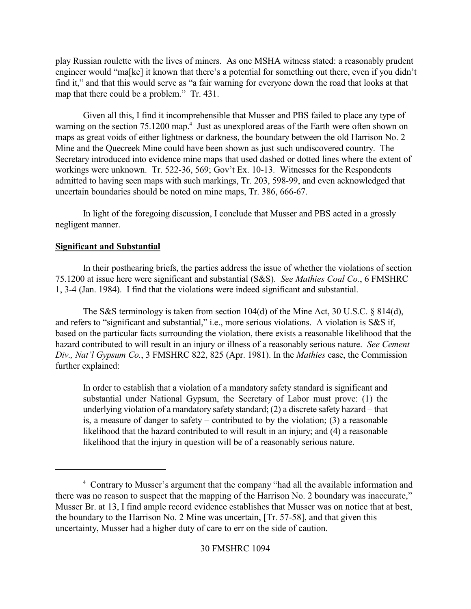play Russian roulette with the lives of miners. As one MSHA witness stated: a reasonably prudent engineer would "ma[ke] it known that there's a potential for something out there, even if you didn't find it," and that this would serve as "a fair warning for everyone down the road that looks at that map that there could be a problem." Tr. 431.

Given all this, I find it incomprehensible that Musser and PBS failed to place any type of warning on the section  $75.1200 \text{ map}^4$  Just as unexplored areas of the Earth were often shown on maps as great voids of either lightness or darkness, the boundary between the old Harrison No. 2 Mine and the Quecreek Mine could have been shown as just such undiscovered country. The Secretary introduced into evidence mine maps that used dashed or dotted lines where the extent of workings were unknown. Tr. 522-36, 569; Gov't Ex. 10-13. Witnesses for the Respondents admitted to having seen maps with such markings, Tr. 203, 598-99, and even acknowledged that uncertain boundaries should be noted on mine maps, Tr. 386, 666-67.

In light of the foregoing discussion, I conclude that Musser and PBS acted in a grossly negligent manner.

## **Significant and Substantial**

In their posthearing briefs, the parties address the issue of whether the violations of section 75.1200 at issue here were significant and substantial (S&S). *See Mathies Coal Co.*, 6 FMSHRC 1, 3-4 (Jan. 1984). I find that the violations were indeed significant and substantial.

The S&S terminology is taken from section 104(d) of the Mine Act, 30 U.S.C. § 814(d), and refers to "significant and substantial," i.e., more serious violations. A violation is S&S if, based on the particular facts surrounding the violation, there exists a reasonable likelihood that the hazard contributed to will result in an injury or illness of a reasonably serious nature. *See Cement Div., Nat'l Gypsum Co.*, 3 FMSHRC 822, 825 (Apr. 1981). In the *Mathies* case, the Commission further explained:

In order to establish that a violation of a mandatory safety standard is significant and substantial under National Gypsum, the Secretary of Labor must prove: (1) the underlying violation of a mandatory safety standard; (2) a discrete safety hazard – that is, a measure of danger to safety – contributed to by the violation; (3) a reasonable likelihood that the hazard contributed to will result in an injury; and (4) a reasonable likelihood that the injury in question will be of a reasonably serious nature.

Contrary to Musser's argument that the company "had all the available information and <sup>4</sup> there was no reason to suspect that the mapping of the Harrison No. 2 boundary was inaccurate," Musser Br. at 13, I find ample record evidence establishes that Musser was on notice that at best, the boundary to the Harrison No. 2 Mine was uncertain, [Tr. 57-58], and that given this uncertainty, Musser had a higher duty of care to err on the side of caution.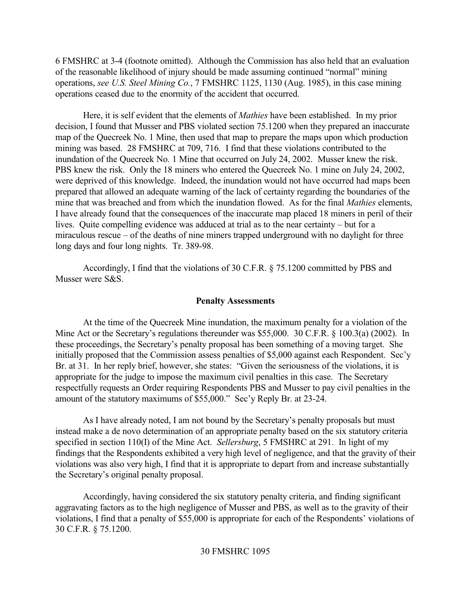6 FMSHRC at 3-4 (footnote omitted). Although the Commission has also held that an evaluation of the reasonable likelihood of injury should be made assuming continued "normal" mining operations, *see U.S. Steel Mining Co.*, 7 FMSHRC 1125, 1130 (Aug. 1985), in this case mining operations ceased due to the enormity of the accident that occurred.

Here, it is self evident that the elements of *Mathies* have been established. In my prior decision, I found that Musser and PBS violated section 75.1200 when they prepared an inaccurate map of the Quecreek No. 1 Mine, then used that map to prepare the maps upon which production mining was based. 28 FMSHRC at 709, 716. I find that these violations contributed to the inundation of the Quecreek No. 1 Mine that occurred on July 24, 2002. Musser knew the risk. PBS knew the risk. Only the 18 miners who entered the Quecreek No. 1 mine on July 24, 2002, were deprived of this knowledge. Indeed, the inundation would not have occurred had maps been prepared that allowed an adequate warning of the lack of certainty regarding the boundaries of the mine that was breached and from which the inundation flowed. As for the final *Mathies* elements, I have already found that the consequences of the inaccurate map placed 18 miners in peril of their lives. Quite compelling evidence was adduced at trial as to the near certainty – but for a miraculous rescue – of the deaths of nine miners trapped underground with no daylight for three long days and four long nights. Tr. 389-98.

Accordingly, I find that the violations of 30 C.F.R. § 75.1200 committed by PBS and Musser were S&S.

#### **Penalty Assessments**

At the time of the Quecreek Mine inundation, the maximum penalty for a violation of the Mine Act or the Secretary's regulations thereunder was \$55,000. 30 C.F.R. § 100.3(a) (2002). In these proceedings, the Secretary's penalty proposal has been something of a moving target. She initially proposed that the Commission assess penalties of \$5,000 against each Respondent. Sec'y Br. at 31. In her reply brief, however, she states: "Given the seriousness of the violations, it is appropriate for the judge to impose the maximum civil penalties in this case. The Secretary respectfully requests an Order requiring Respondents PBS and Musser to pay civil penalties in the amount of the statutory maximums of \$55,000." Sec'y Reply Br. at 23-24.

As I have already noted, I am not bound by the Secretary's penalty proposals but must instead make a de novo determination of an appropriate penalty based on the six statutory criteria specified in section 110(I) of the Mine Act. *Sellersburg*, 5 FMSHRC at 291. In light of my findings that the Respondents exhibited a very high level of negligence, and that the gravity of their violations was also very high, I find that it is appropriate to depart from and increase substantially the Secretary's original penalty proposal.

Accordingly, having considered the six statutory penalty criteria, and finding significant aggravating factors as to the high negligence of Musser and PBS, as well as to the gravity of their violations, I find that a penalty of \$55,000 is appropriate for each of the Respondents' violations of 30 C.F.R. § 75.1200.